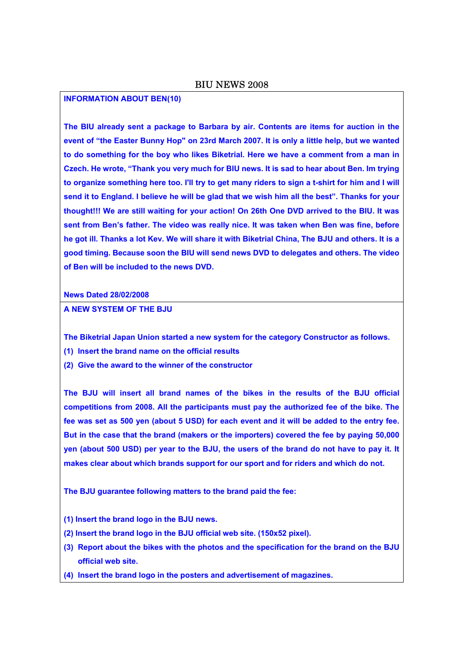### BIU NEWS 2008

#### **INFORMATION ABOUT BEN(10)**

**The BIU already sent a package to Barbara by air. Contents are items for auction in the event of "the Easter Bunny Hop" on 23rd March 2007. It is only a little help, but we wanted to do something for the boy who likes Biketrial. Here we have a comment from a man in Czech. He wrote, "Thank you very much for BIU news. It is sad to hear about Ben. Im trying to organize something here too. I'll try to get many riders to sign a t-shirt for him and I will send it to England. I believe he will be glad that we wish him all the best". Thanks for your thought!!! We are still waiting for your action! On 26th One DVD arrived to the BIU. It was sent from Ben's father. The video was really nice. It was taken when Ben was fine, before he got ill. Thanks a lot Kev. We will share it with Biketrial China, The BJU and others. It is a good timing. Because soon the BIU will send news DVD to delegates and others. The video of Ben will be included to the news DVD.** 

**News Dated 28/02/2008** 

**A NEW SYSTEM OF THE BJU** 

**The Biketrial Japan Union started a new system for the category Constructor as follows.** 

- **(1) Insert the brand name on the official results**
- **(2) Give the award to the winner of the constructor**

**The BJU will insert all brand names of the bikes in the results of the BJU official competitions from 2008. All the participants must pay the authorized fee of the bike. The fee was set as 500 yen (about 5 USD) for each event and it will be added to the entry fee. But in the case that the brand (makers or the importers) covered the fee by paying 50,000 yen (about 500 USD) per year to the BJU, the users of the brand do not have to pay it. It makes clear about which brands support for our sport and for riders and which do not.** 

**The BJU guarantee following matters to the brand paid the fee:** 

- **(1) Insert the brand logo in the BJU news.**
- **(2) Insert the brand logo in the BJU official web site. (150x52 pixel).**
- **(3) Report about the bikes with the photos and the specification for the brand on the BJU official web site.**
- **(4) Insert the brand logo in the posters and advertisement of magazines.**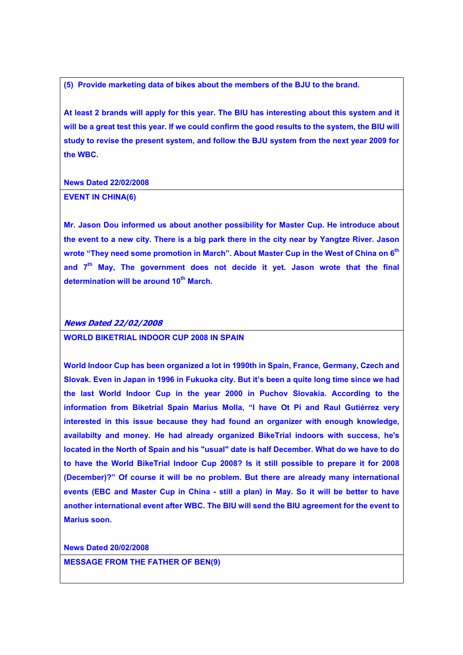**(5) Provide marketing data of bikes about the members of the BJU to the brand.** 

**At least 2 brands will apply for this year. The BIU has interesting about this system and it will be a great test this year. If we could confirm the good results to the system, the BIU will study to revise the present system, and follow the BJU system from the next year 2009 for the WBC.** 

**News Dated 22/02/2008** 

#### **EVENT IN CHINA(6)**

**Mr. Jason Dou informed us about another possibility for Master Cup. He introduce about the event to a new city. There is a big park there in the city near by Yangtze River. Jason wrote "They need some promotion in March". About Master Cup in the West of China on 6th and 7th May, The government does not decide it yet. Jason wrote that the final determination will be around 10th March.**

#### **News Dated 22/02/2008**

**WORLD BIKETRIAL INDOOR CUP 2008 IN SPAIN** 

**World Indoor Cup has been organized a lot in 1990th in Spain, France, Germany, Czech and Slovak. Even in Japan in 1996 in Fukuoka city. But it's been a quite long time since we had the last World Indoor Cup in the year 2000 in Puchov Slovakia. According to the information from Biketrial Spain Marius Molla, "I have Ot Pi and Raul Gutiérrez very interested in this issue because they had found an organizer with enough knowledge, availabilty and money. He had already organized BikeTrial indoors with success, he's located in the North of Spain and his "usual" date is half December. What do we have to do to have the World BikeTrial Indoor Cup 2008? Is it still possible to prepare it for 2008 (December)?" Of course it will be no problem. But there are already many international events (EBC and Master Cup in China - still a plan) in May. So it will be better to have another international event after WBC. The BIU will send the BIU agreement for the event to Marius soon.** 

**News Dated 20/02/2008 MESSAGE FROM THE FATHER OF BEN(9)**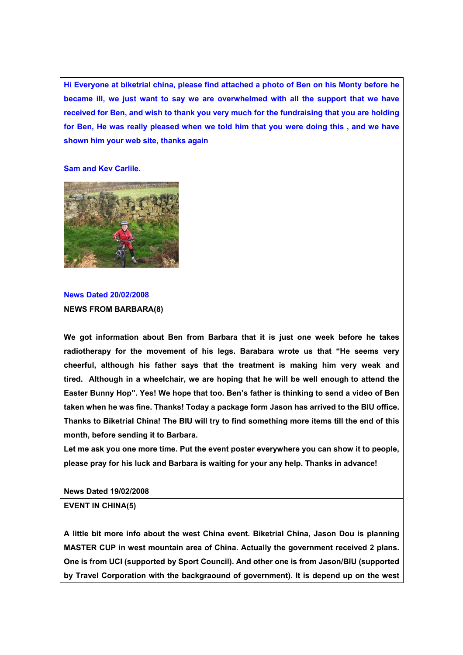**Hi Everyone at biketrial china, please find attached a photo of Ben on his Monty before he became ill, we just want to say we are overwhelmed with all the support that we have received for Ben, and wish to thank you very much for the fundraising that you are holding for Ben, He was really pleased when we told him that you were doing this , and we have shown him your web site, thanks again** 

#### **Sam and Kev Carlile.**



#### **News Dated 20/02/2008**

#### **NEWS FROM BARBARA(8)**

**We got information about Ben from Barbara that it is just one week before he takes radiotherapy for the movement of his legs. Barabara wrote us that "He seems very cheerful, although his father says that the treatment is making him very weak and tired. Although in a wheelchair, we are hoping that he will be well enough to attend the Easter Bunny Hop". Yes! We hope that too. Ben's father is thinking to send a video of Ben taken when he was fine. Thanks! Today a package form Jason has arrived to the BIU office. Thanks to Biketrial China! The BIU will try to find something more items till the end of this month, before sending it to Barbara.** 

**Let me ask you one more time. Put the event poster everywhere you can show it to people, please pray for his luck and Barbara is waiting for your any help. Thanks in advance!** 

**News Dated 19/02/2008** 

#### **EVENT IN CHINA(5)**

**A little bit more info about the west China event. Biketrial China, Jason Dou is planning MASTER CUP in west mountain area of China. Actually the government received 2 plans. One is from UCI (supported by Sport Council). And other one is from Jason/BIU (supported by Travel Corporation with the backgraound of government). It is depend up on the west**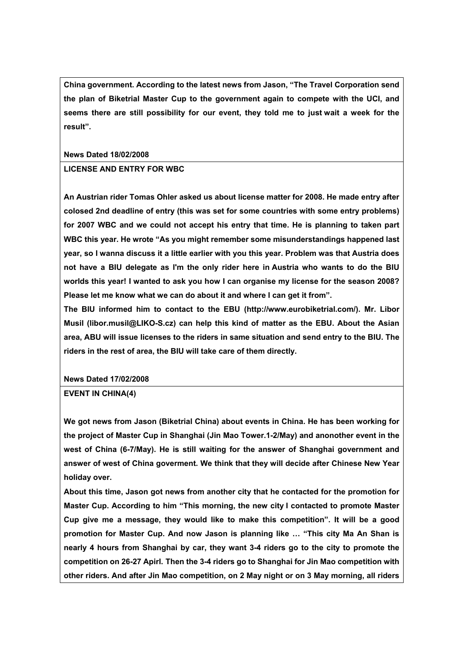**China government. According to the latest news from Jason, "The Travel Corporation send the plan of Biketrial Master Cup to the government again to compete with the UCI, and seems there are still possibility for our event, they told me to just wait a week for the result".** 

**News Dated 18/02/2008** 

# **LICENSE AND ENTRY FOR WBC**

**An Austrian rider Tomas Ohler asked us about license matter for 2008. He made entry after colosed 2nd deadline of entry (this was set for some countries with some entry problems) for 2007 WBC and we could not accept his entry that time. He is planning to taken part WBC this year. He wrote "As you might remember some misunderstandings happened last year, so I wanna discuss it a little earlier with you this year. Problem was that Austria does not have a BIU delegate as I'm the only rider here in Austria who wants to do the BIU worlds this year! I wanted to ask you how I can organise my license for the season 2008? Please let me know what we can do about it and where I can get it from".** 

**The BIU informed him to contact to the EBU (http://www.eurobiketrial.com/). Mr. Libor Musil (libor.musil@LIKO-S.cz) can help this kind of matter as the EBU. About the Asian area, ABU will issue licenses to the riders in same situation and send entry to the BIU. The riders in the rest of area, the BIU will take care of them directly.** 

**News Dated 17/02/2008** 

**EVENT IN CHINA(4)** 

**We got news from Jason (Biketrial China) about events in China. He has been working for the project of Master Cup in Shanghai (Jin Mao Tower.1-2/May) and anonother event in the west of China (6-7/May). He is still waiting for the answer of Shanghai government and answer of west of China goverment. We think that they will decide after Chinese New Year holiday over.** 

**About this time, Jason got news from another city that he contacted for the promotion for Master Cup. According to him "This morning, the new city I contacted to promote Master Cup give me a message, they would like to make this competition". It will be a good promotion for Master Cup. And now Jason is planning like … "This city Ma An Shan is nearly 4 hours from Shanghai by car, they want 3-4 riders go to the city to promote the competition on 26-27 Apirl. Then the 3-4 riders go to Shanghai for Jin Mao competition with other riders. And after Jin Mao competition, on 2 May night or on 3 May morning, all riders**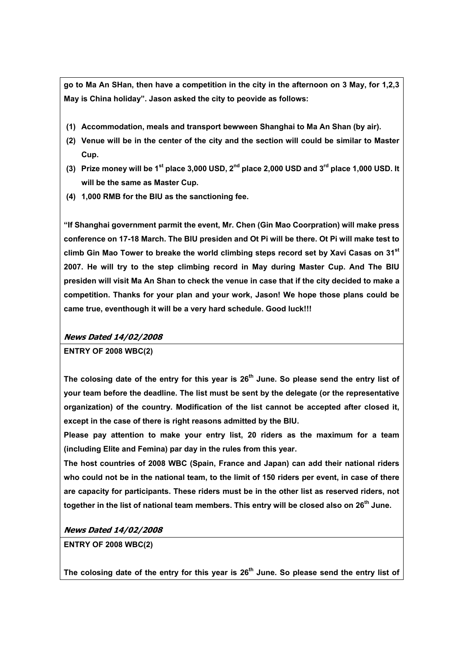**go to Ma An SHan, then have a competition in the city in the afternoon on 3 May, for 1,2,3 May is China holiday". Jason asked the city to peovide as follows:** 

- **(1) Accommodation, meals and transport bewween Shanghai to Ma An Shan (by air).**
- **(2) Venue will be in the center of the city and the section will could be similar to Master Cup.**
- **(3) Prize money will be 1st place 3,000 USD, 2nd place 2,000 USD and 3rd place 1,000 USD. It will be the same as Master Cup.**
- **(4) 1,000 RMB for the BIU as the sanctioning fee.**

**"If Shanghai government parmit the event, Mr. Chen (Gin Mao Coorpration) will make press conference on 17-18 March. The BIU presiden and Ot Pi will be there. Ot Pi will make test to climb Gin Mao Tower to breake the world climbing steps record set by Xavi Casas on 31st 2007. He will try to the step climbing record in May during Master Cup. And The BIU presiden will visit Ma An Shan to check the venue in case that if the city decided to make a competition. Thanks for your plan and your work, Jason! We hope those plans could be came true, eventhough it will be a very hard schedule. Good luck!!!** 

### **News Dated 14/02/2008**

**ENTRY OF 2008 WBC(2)** 

The colosing date of the entry for this year is 26<sup>th</sup> June. So please send the entry list of **your team before the deadline. The list must be sent by the delegate (or the representative organization) of the country. Modification of the list cannot be accepted after closed it, except in the case of there is right reasons admitted by the BIU.** 

**Please pay attention to make your entry list, 20 riders as the maximum for a team (including Elite and Femina) par day in the rules from this year.** 

**The host countries of 2008 WBC (Spain, France and Japan) can add their national riders who could not be in the national team, to the limit of 150 riders per event, in case of there are capacity for participants. These riders must be in the other list as reserved riders, not together in the list of national team members. This entry will be closed also on 26th June.** 

### **News Dated 14/02/2008**

**ENTRY OF 2008 WBC(2)** 

The colosing date of the entry for this year is 26<sup>th</sup> June. So please send the entry list of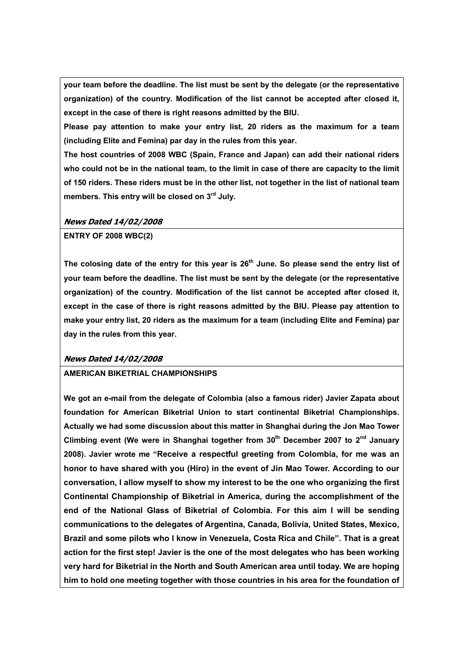**your team before the deadline. The list must be sent by the delegate (or the representative organization) of the country. Modification of the list cannot be accepted after closed it, except in the case of there is right reasons admitted by the BIU.** 

**Please pay attention to make your entry list, 20 riders as the maximum for a team (including Elite and Femina) par day in the rules from this year.** 

**The host countries of 2008 WBC (Spain, France and Japan) can add their national riders who could not be in the national team, to the limit in case of there are capacity to the limit of 150 riders. These riders must be in the other list, not together in the list of national team members. This entry will be closed on 3rd July.** 

## **News Dated 14/02/2008**

## **ENTRY OF 2008 WBC(2)**

The colosing date of the entry for this year is 26<sup>th</sup> June. So please send the entry list of **your team before the deadline. The list must be sent by the delegate (or the representative organization) of the country. Modification of the list cannot be accepted after closed it, except in the case of there is right reasons admitted by the BIU. Please pay attention to make your entry list, 20 riders as the maximum for a team (including Elite and Femina) par day in the rules from this year.** 

# **News Dated 14/02/2008**

### **AMERICAN BIKETRIAL CHAMPIONSHIPS**

**We got an e-mail from the delegate of Colombia (also a famous rider) Javier Zapata about foundation for American Biketrial Union to start continental Biketrial Championships. Actually we had some discussion about this matter in Shanghai during the Jon Mao Tower**  Climbing event (We were in Shanghai together from 30<sup>th</sup> December 2007 to 2<sup>nd</sup> January **2008). Javier wrote me "Receive a respectful greeting from Colombia, for me was an honor to have shared with you (Hiro) in the event of Jin Mao Tower. According to our conversation, I allow myself to show my interest to be the one who organizing the first Continental Championship of Biketrial in America, during the accomplishment of the end of the National Glass of Biketrial of Colombia. For this aim I will be sending communications to the delegates of Argentina, Canada, Bolivia, United States, Mexico, Brazil and some pilots who I know in Venezuela, Costa Rica and Chile". That is a great action for the first step! Javier is the one of the most delegates who has been working very hard for Biketrial in the North and South American area until today. We are hoping him to hold one meeting together with those countries in his area for the foundation of**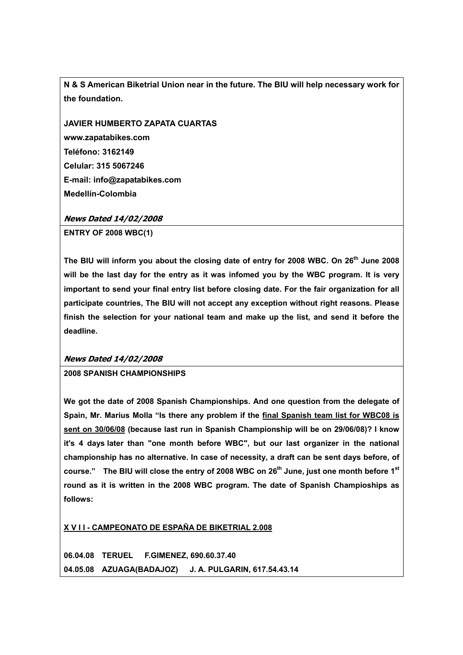**N & S American Biketrial Union near in the future. The BIU will help necessary work for the foundation.** 

**JAVIER HUMBERTO ZAPATA CUARTAS www.zapatabikes.com Teléfono: 3162149 Celular: 315 5067246 E-mail: info@zapatabikes.com Medellín-Colombia** 

## **News Dated 14/02/2008**

**ENTRY OF 2008 WBC(1)** 

The BIU will inform you about the closing date of entry for 2008 WBC. On 26<sup>th</sup> June 2008 **will be the last day for the entry as it was infomed you by the WBC program. It is very important to send your final entry list before closing date. For the fair organization for all participate countries, The BIU will not accept any exception without right reasons. Please finish the selection for your national team and make up the list, and send it before the deadline.** 

### **News Dated 14/02/2008**

## **2008 SPANISH CHAMPIONSHIPS**

**We got the date of 2008 Spanish Championships. And one question from the delegate of Spain, Mr. Marius Molla "Is there any problem if the final Spanish team list for WBC08 is sent on 30/06/08 (because last run in Spanish Championship will be on 29/06/08)? I know it's 4 days later than "one month before WBC", but our last organizer in the national championship has no alternative. In case of necessity, a draft can be sent days before, of**  course." The BIU will close the entry of 2008 WBC on 26<sup>th</sup> June, just one month before 1<sup>st</sup> **round as it is written in the 2008 WBC program. The date of Spanish Champioships as follows:** 

**X V I I - CAMPEONATO DE ESPAÑA DE BIKETRIAL 2.008**

**06.04.08 TERUEL F.GIMENEZ, 690.60.37.40 04.05.08 AZUAGA(BADAJOZ) J. A. PULGARIN, 617.54.43.14**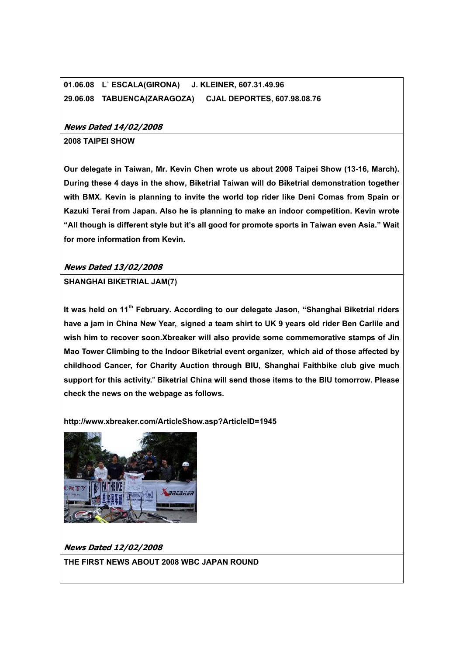# **01.06.08 L` ESCALA(GIRONA) J. KLEINER, 607.31.49.96 29.06.08 TABUENCA(ZARAGOZA) CJAL DEPORTES, 607.98.08.76**

## **News Dated 14/02/2008**

### **2008 TAIPEI SHOW**

**Our delegate in Taiwan, Mr. Kevin Chen wrote us about 2008 Taipei Show (13-16, March). During these 4 days in the show, Biketrial Taiwan will do Biketrial demonstration together with BMX. Kevin is planning to invite the world top rider like Deni Comas from Spain or Kazuki Terai from Japan. Also he is planning to make an indoor competition. Kevin wrote "All though is different style but it's all good for promote sports in Taiwan even Asia." Wait for more information from Kevin.** 

## **News Dated 13/02/2008**

**SHANGHAI BIKETRIAL JAM(7)** 

It was held on 11<sup>th</sup> February. According to our delegate Jason, "Shanghai Biketrial riders **have a jam in China New Year, signed a team shirt to UK 9 years old rider Ben Carlile and wish him to recover soon.Xbreaker will also provide some commemorative stamps of Jin Mao Tower Climbing to the Indoor Biketrial event organizer, which aid of those affected by childhood Cancer, for Charity Auction through BIU, Shanghai Faithbike club give much support for this activity.**" **Biketrial China will send those items to the BIU tomorrow. Please check the news on the webpage as follows.** 

**http://www.xbreaker.com/ArticleShow.asp?ArticleID=1945**



**News Dated 12/02/2008**

**THE FIRST NEWS ABOUT 2008 WBC JAPAN ROUND**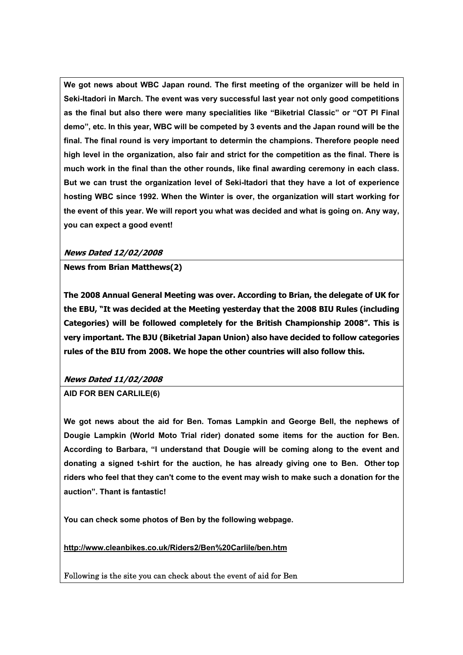**We got news about WBC Japan round. The first meeting of the organizer will be held in Seki-Itadori in March. The event was very successful last year not only good competitions as the final but also there were many specialities like "Biketrial Classic" or "OT PI Final demo", etc. In this year, WBC will be competed by 3 events and the Japan round will be the final. The final round is very important to determin the champions. Therefore people need high level in the organization, also fair and strict for the competition as the final. There is much work in the final than the other rounds, like final awarding ceremony in each class. But we can trust the organization level of Seki-Itadori that they have a lot of experience hosting WBC since 1992. When the Winter is over, the organization will start working for the event of this year. We will report you what was decided and what is going on. Any way, you can expect a good event!** 

# **News Dated 12/02/2008**

# **News from Brian Matthews(2)**

**The 2008 Annual General Meeting was over. According to Brian, the delegate of UK for the EBU, "It was decided at the Meeting yesterday that the 2008 BIU Rules (including Categories) will be followed completely for the British Championship 2008". This is very important. The BJU (Biketrial Japan Union) also have decided to follow categories rules of the BIU from 2008. We hope the other countries will also follow this.** 

# **News Dated 11/02/2008**

# **AID FOR BEN CARLILE(6)**

**We got news about the aid for Ben. Tomas Lampkin and George Bell, the nephews of Dougie Lampkin (World Moto Trial rider) donated some items for the auction for Ben. According to Barbara, "I understand that Dougie will be coming along to the event and donating a signed t-shirt for the auction, he has already giving one to Ben. Other top riders who feel that they can't come to the event may wish to make such a donation for the auction". Thant is fantastic!** 

**You can check some photos of Ben by the following webpage.** 

**http://www.cleanbikes.co.uk/Riders2/Ben%20Carlile/ben.htm**

Following is the site you can check about the event of aid for Ben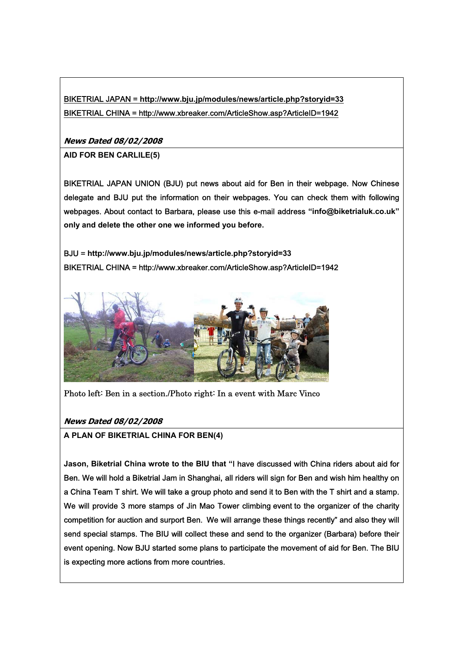BIKETRIAL JAPAN = **http://www.bju.jp/modules/news/article.php?storyid=33** BIKETRIAL CHINA = http://www.xbreaker.com/ArticleShow.asp?ArticleID=1942

**News Dated 08/02/2008**

**AID FOR BEN CARLILE(5)**

BIKETRIAL JAPAN UNION (BJU) put news about aid for Ben in their webpage. Now Chinese delegate and BJU put the information on their webpages. You can check them with following webpages. About contact to Barbara, please use this e-mail address **"info@biketrialuk.co.uk" only and delete the other one we informed you before.** 

BJU = **http://www.bju.jp/modules/news/article.php?storyid=33** BIKETRIAL CHINA = http://www.xbreaker.com/ArticleShow.asp?ArticleID=1942



Photo left: Ben in a section./Photo right: In a event with Marc Vinco

**News Dated 08/02/2008**

**A PLAN OF BIKETRIAL CHINA FOR BEN(4)** 

**Jason, Biketrial China wrote to the BIU that "**I have discussed with China riders about aid for Ben. We will hold a Biketrial Jam in Shanghai, all riders will sign for Ben and wish him healthy on a China Team T shirt. We will take a group photo and send it to Ben with the T shirt and a stamp. We will provide 3 more stamps of Jin Mao Tower climbing event to the organizer of the charity competition for auction and surport Ben. We will arrange these things recently" and also they will send special stamps. The BIU will collect these and send to the organizer (Barbara) before their event opening. Now BJU started some plans to participate the movement of aid for Ben. The BIU is expecting more actions from more countries.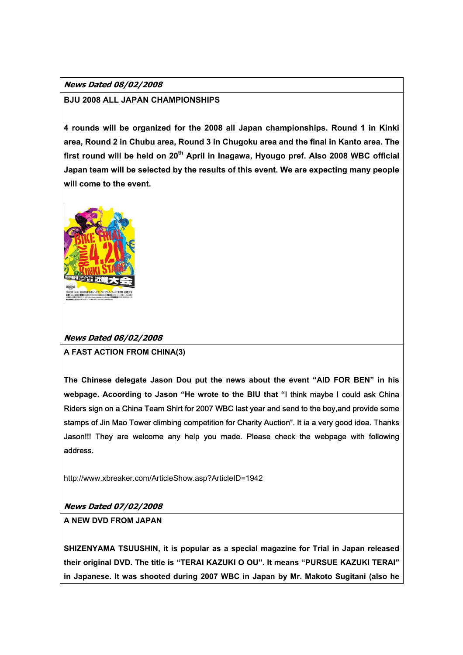# **News Dated 08/02/2008**

# **BJU 2008 ALL JAPAN CHAMPIONSHIPS**

**4 rounds will be organized for the 2008 all Japan championships. Round 1 in Kinki area, Round 2 in Chubu area, Round 3 in Chugoku area and the final in Kanto area. The**  first round will be held on 20<sup>th</sup> April in Inagawa, Hyougo pref. Also 2008 WBC official **Japan team will be selected by the results of this event. We are expecting many people will come to the event.** 



# **News Dated 08/02/2008**

**A FAST ACTION FROM CHINA(3)** 

**The Chinese delegate Jason Dou put the news about the event "AID FOR BEN" in his webpage. Acoording to Jason "He wrote to the BIU that "**I think maybe I could ask China Riders sign on a China Team Shirt for 2007 WBC last year and send to the boy,and provide some stamps of Jin Mao Tower climbing competition for Charity Auction". It ia a very good idea. Thanks Jason!!! They are welcome any help you made. Please check the webpage with following address.

http://www.xbreaker.com/ArticleShow.asp?ArticleID=1942

# **News Dated 07/02/2008**

**A NEW DVD FROM JAPAN** 

**SHIZENYAMA TSUUSHIN, it is popular as a special magazine for Trial in Japan released their original DVD. The title is "TERAI KAZUKI O OU". It means "PURSUE KAZUKI TERAI" in Japanese. It was shooted during 2007 WBC in Japan by Mr. Makoto Sugitani (also he**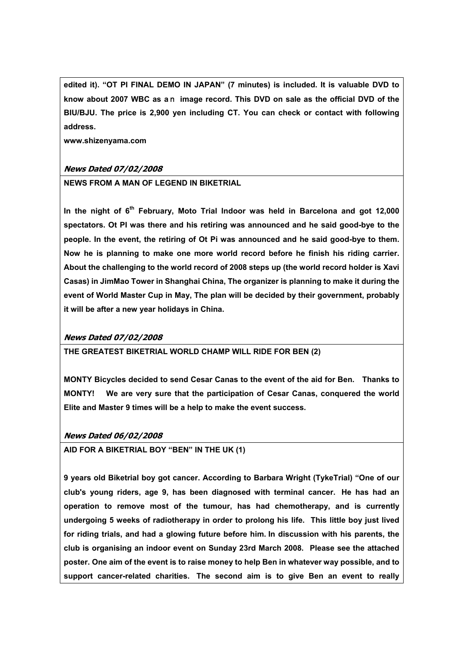**edited it). "OT PI FINAL DEMO IN JAPAN" (7 minutes) is included. It is valuable DVD to know about 2007 WBC as a**n **image record. This DVD on sale as the official DVD of the BIU/BJU. The price is 2,900 yen including CT. You can check or contact with following address.** 

**www.shizenyama.com**

## **News Dated 07/02/2008**

**NEWS FROM A MAN OF LEGEND IN BIKETRIAL** 

In the night of 6<sup>th</sup> February, Moto Trial Indoor was held in Barcelona and got 12,000 **spectators. Ot PI was there and his retiring was announced and he said good-bye to the people. In the event, the retiring of Ot Pi was announced and he said good-bye to them. Now he is planning to make one more world record before he finish his riding carrier. About the challenging to the world record of 2008 steps up (the world record holder is Xavi Casas) in JimMao Tower in Shanghai China, The organizer is planning to make it during the event of World Master Cup in May, The plan will be decided by their government, probably it will be after a new year holidays in China.** 

### **News Dated 07/02/2008**

**THE GREATEST BIKETRIAL WORLD CHAMP WILL RIDE FOR BEN (2)** 

**MONTY Bicycles decided to send Cesar Canas to the event of the aid for Ben. Thanks to MONTY! We are very sure that the participation of Cesar Canas, conquered the world Elite and Master 9 times will be a help to make the event success.** 

### **News Dated 06/02/2008**

**AID FOR A BIKETRIAL BOY "BEN" IN THE UK (1)** 

**9 years old Biketrial boy got cancer. According to Barbara Wright (TykeTrial) "One of our club's young riders, age 9, has been diagnosed with terminal cancer. He has had an operation to remove most of the tumour, has had chemotherapy, and is currently undergoing 5 weeks of radiotherapy in order to prolong his life. This little boy just lived for riding trials, and had a glowing future before him. In discussion with his parents, the club is organising an indoor event on Sunday 23rd March 2008. Please see the attached poster. One aim of the event is to raise money to help Ben in whatever way possible, and to support cancer-related charities. The second aim is to give Ben an event to really**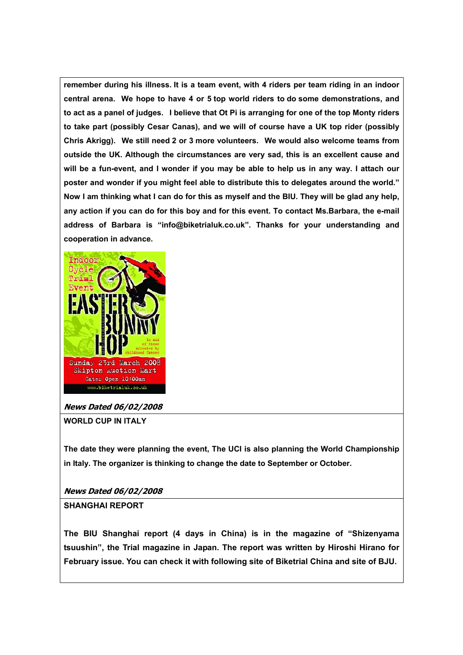**remember during his illness. It is a team event, with 4 riders per team riding in an indoor central arena. We hope to have 4 or 5 top world riders to do some demonstrations, and to act as a panel of judges. I believe that Ot Pi is arranging for one of the top Monty riders to take part (possibly Cesar Canas), and we will of course have a UK top rider (possibly Chris Akrigg). We still need 2 or 3 more volunteers. We would also welcome teams from outside the UK. Although the circumstances are very sad, this is an excellent cause and will be a fun-event, and I wonder if you may be able to help us in any way. I attach our poster and wonder if you might feel able to distribute this to delegates around the world." Now I am thinking what I can do for this as myself and the BIU. They will be glad any help, any action if you can do for this boy and for this event. To contact Ms.Barbara, the e-mail address of Barbara is "info@biketrialuk.co.uk". Thanks for your understanding and cooperation in advance.** 



### **News Dated 06/02/2008**

**WORLD CUP IN ITALY** 

**The date they were planning the event, The UCI is also planning the World Championship in Italy. The organizer is thinking to change the date to September or October.** 

**News Dated 06/02/2008**

### **SHANGHAI REPORT**

**The BIU Shanghai report (4 days in China) is in the magazine of "Shizenyama tsuushin", the Trial magazine in Japan. The report was written by Hiroshi Hirano for February issue. You can check it with following site of Biketrial China and site of BJU.**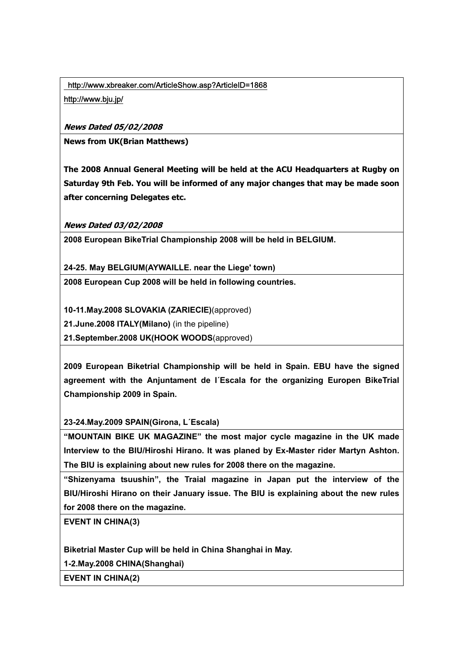http://www.xbreaker.com/ArticleShow.asp?ArticleID=1868

http://www.bju.jp/

**News Dated 05/02/2008**

**News from UK(Brian Matthews)** 

**The 2008 Annual General Meeting will be held at the ACU Headquarters at Rugby on Saturday 9th Feb. You will be informed of any major changes that may be made soon after concerning Delegates etc.** 

**News Dated 03/02/2008**

**2008 European BikeTrial Championship 2008 will be held in BELGIUM.** 

**24-25. May BELGIUM(AYWAILLE. near the Liege' town)** 

**2008 European Cup 2008 will be held in following countries.** 

**10-11.May.2008 SLOVAKIA (ZARIECIE)**(approved)

**21.June.2008 ITALY(Milano)** (in the pipeline)

**21.September.2008 UK(HOOK WOODS**(approved)

**2009 European Biketrial Championship will be held in Spain. EBU have the signed agreement with the Anjuntament de l´Escala for the organizing Europen BikeTrial Championship 2009 in Spain.** 

**23-24.May.2009 SPAIN(Girona, L´Escala)** 

**"MOUNTAIN BIKE UK MAGAZINE" the most major cycle magazine in the UK made Interview to the BIU/Hiroshi Hirano. It was planed by Ex-Master rider Martyn Ashton. The BIU is explaining about new rules for 2008 there on the magazine.** 

**"Shizenyama tsuushin", the Traial magazine in Japan put the interview of the BIU/Hiroshi Hirano on their January issue. The BIU is explaining about the new rules for 2008 there on the magazine.** 

**EVENT IN CHINA(3)** 

**Biketrial Master Cup will be held in China Shanghai in May.** 

**1-2.May.2008 CHINA(Shanghai)** 

**EVENT IN CHINA(2)**